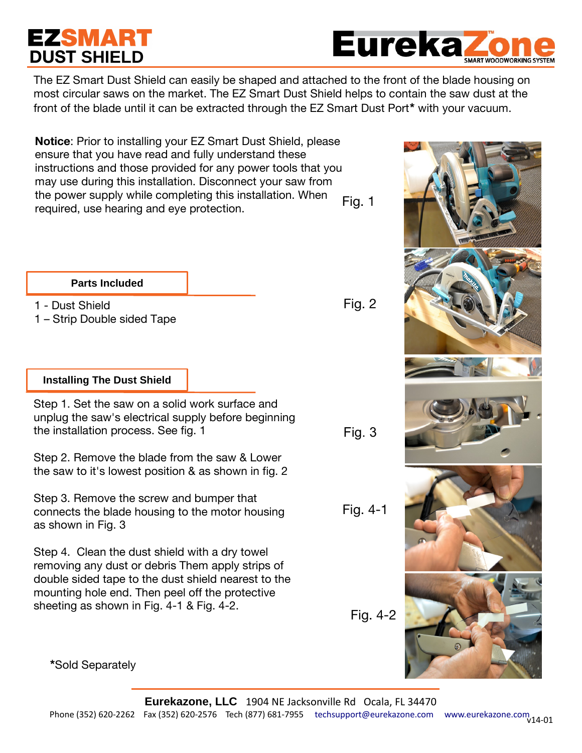# **EZSMART DUST SHIELD**

**Eureka** 

The EZ Smart Dust Shield can easily be shaped and attached to the front of the blade housing on most circular saws on the market. The EZ Smart Dust Shield helps to contain the saw dust at the front of the blade until it can be extracted through the EZ Smart Dust Port**\*** with your vacuum.

Fig. 1 **Notice**: Prior to installing your EZ Smart Dust Shield, please ensure that you have read and fully understand these instructions and those provided for any power tools that you may use during this installation. Disconnect your saw from the power supply while completing this installation. When required, use hearing and eye protection.

### **Parts Included**

1 - Dust Shield

1 – Strip Double sided Tape

## **Installing The Dust Shield**

Step 1. Set the saw on a solid work surface and unplug the saw's electrical supply before beginning the installation process. See fig. 1

Step 2. Remove the blade from the saw & Lower the saw to it's lowest position & as shown in fig. 2

Step 3. Remove the screw and bumper that connects the blade housing to the motor housing as shown in Fig. 3

Step 4. Clean the dust shield with a dry towel removing any dust or debris Them apply strips of double sided tape to the dust shield nearest to the mounting hole end. Then peel off the protective sheeting as shown in Fig. 4-1 & Fig. 4-2.

Fig. 4-2

Fig. 2

Fig. 3

Fig. 4-1



**\***Sold Separately